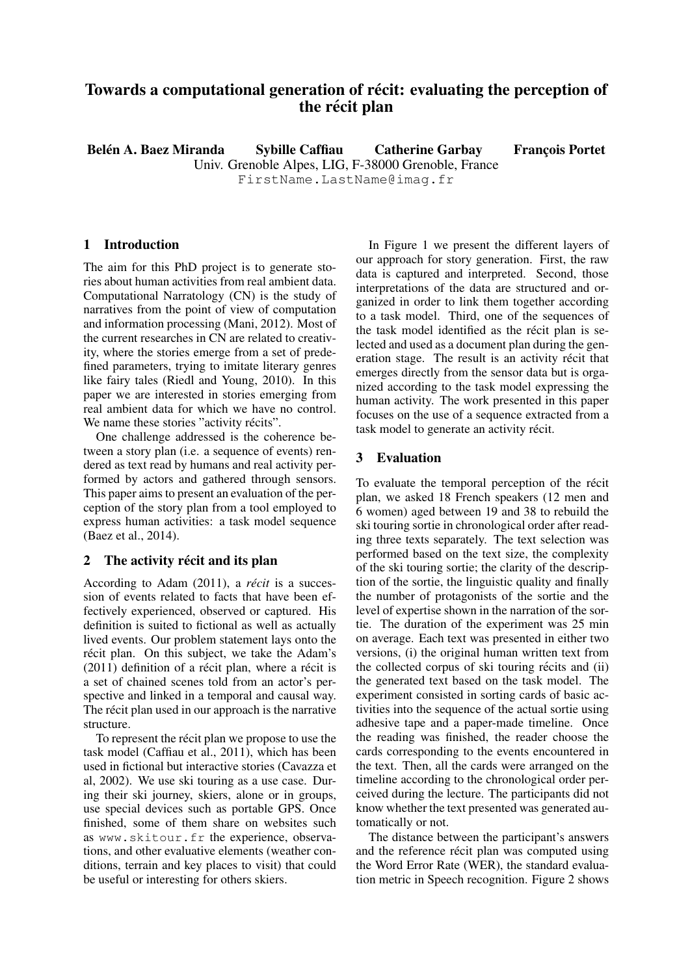# Towards a computational generation of récit: evaluating the perception of the récit plan

Belén A. Baez Miranda 
Sybille Caffiau

Catherine Garbay

Francois Portet Univ. Grenoble Alpes, LIG, F-38000 Grenoble, France FirstName.LastName@imag.fr

## 1 Introduction

The aim for this PhD project is to generate stories about human activities from real ambient data. Computational Narratology (CN) is the study of narratives from the point of view of computation and information processing (Mani, 2012). Most of the current researches in CN are related to creativity, where the stories emerge from a set of predefined parameters, trying to imitate literary genres like fairy tales (Riedl and Young, 2010). In this paper we are interested in stories emerging from real ambient data for which we have no control. We name these stories "activity récits".

One challenge addressed is the coherence between a story plan (i.e. a sequence of events) rendered as text read by humans and real activity performed by actors and gathered through sensors. This paper aims to present an evaluation of the perception of the story plan from a tool employed to express human activities: a task model sequence (Baez et al., 2014).

## 2 The activity récit and its plan

According to Adam (2011), a *récit* is a succession of events related to facts that have been effectively experienced, observed or captured. His definition is suited to fictional as well as actually lived events. Our problem statement lays onto the récit plan. On this subject, we take the Adam's  $(2011)$  definition of a récit plan, where a récit is a set of chained scenes told from an actor's perspective and linked in a temporal and causal way. The récit plan used in our approach is the narrative structure.

To represent the récit plan we propose to use the task model (Caffiau et al., 2011), which has been used in fictional but interactive stories (Cavazza et al, 2002). We use ski touring as a use case. During their ski journey, skiers, alone or in groups, use special devices such as portable GPS. Once finished, some of them share on websites such as www.skitour.fr the experience, observations, and other evaluative elements (weather conditions, terrain and key places to visit) that could be useful or interesting for others skiers.

In Figure 1 we present the different layers of our approach for story generation. First, the raw data is captured and interpreted. Second, those interpretations of the data are structured and organized in order to link them together according to a task model. Third, one of the sequences of the task model identified as the récit plan is selected and used as a document plan during the generation stage. The result is an activity récit that emerges directly from the sensor data but is organized according to the task model expressing the human activity. The work presented in this paper focuses on the use of a sequence extracted from a task model to generate an activity récit.

#### 3 Evaluation

To evaluate the temporal perception of the récit plan, we asked 18 French speakers (12 men and 6 women) aged between 19 and 38 to rebuild the ski touring sortie in chronological order after reading three texts separately. The text selection was performed based on the text size, the complexity of the ski touring sortie; the clarity of the description of the sortie, the linguistic quality and finally the number of protagonists of the sortie and the level of expertise shown in the narration of the sortie. The duration of the experiment was 25 min on average. Each text was presented in either two versions, (i) the original human written text from the collected corpus of ski touring récits and  $(ii)$ the generated text based on the task model. The experiment consisted in sorting cards of basic activities into the sequence of the actual sortie using adhesive tape and a paper-made timeline. Once the reading was finished, the reader choose the cards corresponding to the events encountered in the text. Then, all the cards were arranged on the timeline according to the chronological order perceived during the lecture. The participants did not know whether the text presented was generated automatically or not.

The distance between the participant's answers and the reference récit plan was computed using the Word Error Rate (WER), the standard evaluation metric in Speech recognition. Figure 2 shows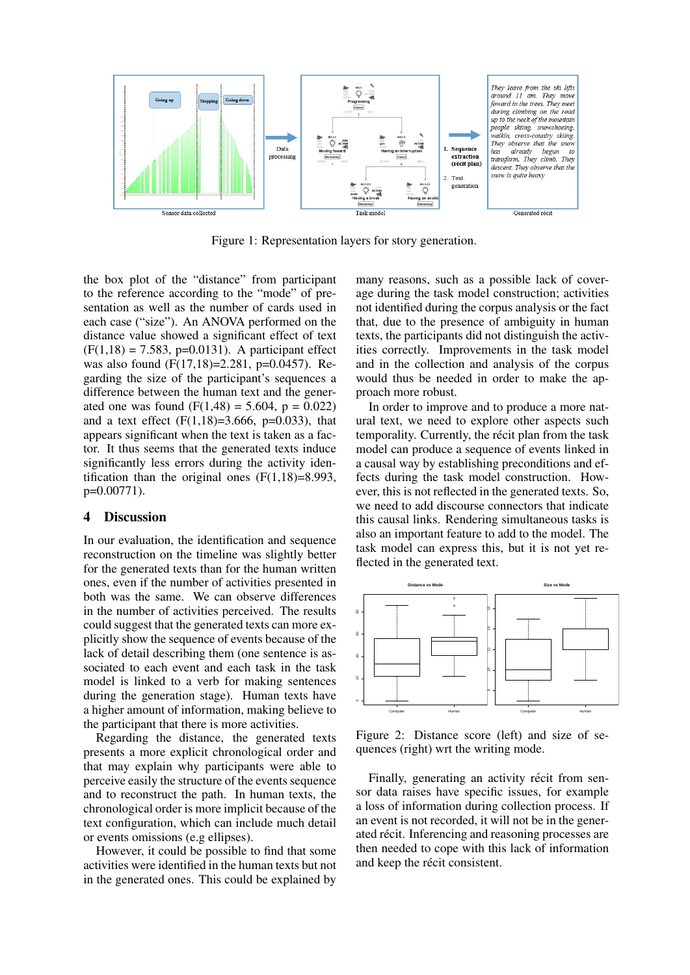

Figure 1: Representation layers for story generation.

the box plot of the "distance" from participant to the reference according to the "mode" of presentation as well as the number of cards used in each case ("size"). An ANOVA performed on the distance value showed a significant effect of text  $(F(1,18) = 7.583, p=0.0131)$ . A participant effect was also found (F(17,18)=2.281, p=0.0457). Regarding the size of the participant's sequences a difference between the human text and the generated one was found  $(F(1,48) = 5.604, p = 0.022)$ and a text effect  $(F(1,18)=3.666, p=0.033)$ , that appears significant when the text is taken as a factor. It thus seems that the generated texts induce significantly less errors during the activity identification than the original ones  $(F(1,18)=8.993)$ , p=0.00771).

# 4 Discussion

In our evaluation, the identification and sequence reconstruction on the timeline was slightly better for the generated texts than for the human written ones, even if the number of activities presented in both was the same. We can observe differences in the number of activities perceived. The results could suggest that the generated texts can more explicitly show the sequence of events because of the lack of detail describing them (one sentence is associated to each event and each task in the task model is linked to a verb for making sentences during the generation stage). Human texts have a higher amount of information, making believe to the participant that there is more activities.

Regarding the distance, the generated texts presents a more explicit chronological order and that may explain why participants were able to perceive easily the structure of the events sequence and to reconstruct the path. In human texts, the chronological order is more implicit because of the text configuration, which can include much detail or events omissions (e.g ellipses).

However, it could be possible to find that some activities were identified in the human texts but not in the generated ones. This could be explained by

many reasons, such as a possible lack of coverage during the task model construction; activities not identified during the corpus analysis or the fact that, due to the presence of ambiguity in human texts, the participants did not distinguish the activities correctly. Improvements in the task model and in the collection and analysis of the corpus would thus be needed in order to make the approach more robust.

In order to improve and to produce a more natural text, we need to explore other aspects such temporality. Currently, the récit plan from the task model can produce a sequence of events linked in a causal way by establishing preconditions and effects during the task model construction. However, this is not reflected in the generated texts. So, we need to add discourse connectors that indicate this causal links. Rendering simultaneous tasks is also an important feature to add to the model. The task model can express this, but it is not yet reflected in the generated text.



Figure 2: Distance score (left) and size of sequences (right) wrt the writing mode.

Finally, generating an activity récit from sensor data raises have specific issues, for example a loss of information during collection process. If an event is not recorded, it will not be in the generated récit. Inferencing and reasoning processes are then needed to cope with this lack of information and keep the récit consistent.